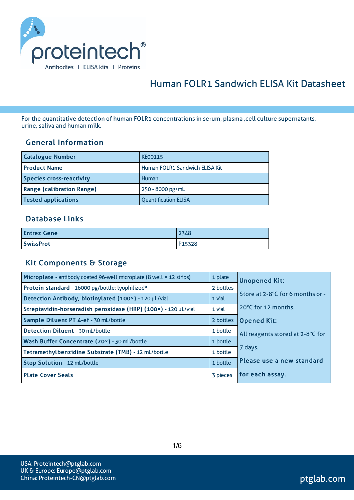

# Human FOLR1 Sandwich ELISA Kit Datasheet

For the quantitative detection of human FOLR1 concentrations in serum, plasma ,cell culture supernatants, urine, saliva and human milk.

#### General Information

| <b>Catalogue Number</b>          | <b>KE00115</b>                 |
|----------------------------------|--------------------------------|
| <b>Product Name</b>              | Human FOLR1 Sandwich ELISA Kit |
| <b>Species cross-reactivity</b>  | Human                          |
| <b>Range (calibration Range)</b> | 250 - 8000 pg/mL               |
| <b>Tested applications</b>       | <b>Quantification ELISA</b>    |

#### Database Links

| <b>Entrez Gene</b> | 2348   |
|--------------------|--------|
| <b>SwissProt</b>   | P15328 |

#### Kit Components & Storage

| Microplate - antibody coated 96-well microplate (8 well × 12 strips) | 1 plate   | <b>Unopened Kit:</b>             |  |  |
|----------------------------------------------------------------------|-----------|----------------------------------|--|--|
| Protein standard - 16000 pg/bottle; lyophilized*                     | 2 bottles |                                  |  |  |
| Detection Antibody, biotinylated (100x) - 120 µL/vial                | 1 vial    | Store at 2-8°C for 6 months or - |  |  |
| Streptavidin-horseradish peroxidase (HRP) (100x) - 120 µL/vial       | 1 vial    | 20°C for 12 months.              |  |  |
| Sample Diluent PT 4-ef - 30 mL/bottle                                | 2 bottles | <b>Opened Kit:</b>               |  |  |
| <b>Detection Diluent - 30 mL/bottle</b>                              | 1 bottle  | All reagents stored at 2-8°C for |  |  |
| Wash Buffer Concentrate (20x) - 30 mL/bottle                         | 1 bottle  |                                  |  |  |
| Tetramethylbenzidine Substrate (TMB) - 12 mL/bottle                  | 1 bottle  | 7 days.                          |  |  |
| Stop Solution - 12 mL/bottle                                         | 1 bottle  | Please use a new standard        |  |  |
| <b>Plate Cover Seals</b>                                             | 3 pieces  | for each assay.                  |  |  |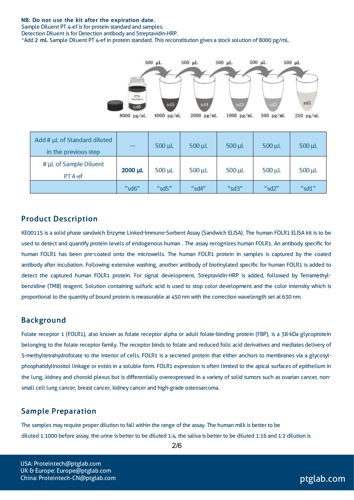#### NB: Do not use the kit after the expiration date.

Sample Diluent PT 4-ef is for protein standard and samples. Detection Diluent is for Detection antibody and Streptavidin-HRP. \*Add 2 mL Sample Diluent PT 4-ef in protein standard. Thisreconstitution gives a stock solution of 8000 pg/mL.



#### Product Description

KE00115 is a solid phase sandwich Enzyme Linked-Immuno-Sorbent Assay (Sandwich ELISA). The human FOLR1 ELISA kit isto be used to detect and quantify protein levels of endogenous human . The assay recognizes human FOLR1. An antibody specific for human FOLR1 has been pre-coated onto the microwells. The human FOLR1 protein in samples is captured by the coated antibody after incubation. Following extensive washing, another antibody of biotinylated specific for human FOLR1 is added to detect the captured human FOLR1 protein. For signal development, Streptavidin-HRP is added, followed by Tetramethylbenzidine (TMB) reagent. Solution containing sulfuric acid is used to stop color development and the color intensity which is proportional to the quantity of bound protein is measurable at 450 nm with the correction wavelength set at 630 nm.

#### Background

Folate receptor 1 (FOLR1), also known as folate receptor alpha or adult folate-binding protein (FBP), is a 38-kDa glycoprotein belonging to the folate receptor family. The receptor binds to folate and reduced folic acid derivatives and mediates delivery of 5-methyltetrahydrofolate to the interior of cells. FOLR1 is a secreted protein that either anchors to membranes via a glycosylphosphatidylinositol linkage or existsin a soluble form. FOLR1 expression is often limited to the apical surfaces of epithelium in the lung, kidney and choroid plexus but is differentially overexpressed in a variety of solid tumors such as ovarian cancer, nonsmall cell lung cancer, breast cancer, kidney cancer and high-grade osteosarcoma.

#### Sample Preparation

The samples may require proper dilution to fall within the range of the assay. The human milk is better to be diluted 1:1000 before assay, the urine is better to be diluted 1:4, the saliva is better to be diluted 1:16 and 1:2 dilution is

USA: Proteintech@ptglab.com UK & Europe: Europe@ptglab.com China: Proteintech-CN@ptglab.com and ptglab.com ptglab.com ptglab.com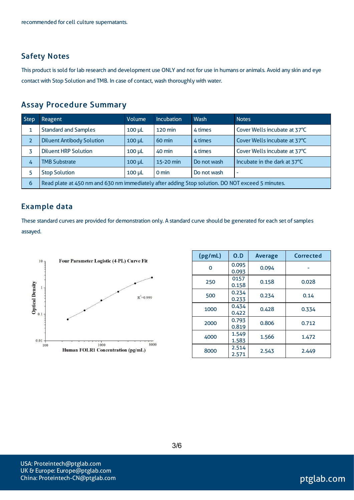#### Safety Notes

This product is sold for lab research and development use ONLY and not for use in humans or animals. Avoid any skin and eye contact with Stop Solution and TMB. In case of contact, wash thoroughly with water.

#### Assay Procedure Summary

| <b>Step</b>              | <b>Reagent</b>                                                                                   | Volume      | <b>Incubation</b> | Wash        | <b>Notes</b>                 |  |  |
|--------------------------|--------------------------------------------------------------------------------------------------|-------------|-------------------|-------------|------------------------------|--|--|
|                          | <b>Standard and Samples</b>                                                                      | $100 \mu L$ | $120 \text{ min}$ | 4 times     | Cover Wells incubate at 37°C |  |  |
| $\overline{\phantom{a}}$ | <b>Diluent Antibody Solution</b>                                                                 | $100 \mu L$ | $60 \text{ min}$  | 4 times     | Cover Wells incubate at 37°C |  |  |
|                          | <b>Diluent HRP Solution</b>                                                                      | $100 \mu L$ | $40 \text{ min}$  | 4 times     | Cover Wells incubate at 37°C |  |  |
| 4                        | <b>TMB Substrate</b>                                                                             | $100 \mu L$ | 15-20 min         | Do not wash | Incubate in the dark at 37°C |  |  |
|                          | <b>Stop Solution</b>                                                                             | $100 \mu L$ | $0 \text{ min}$   | Do not wash | $\overline{\phantom{a}}$     |  |  |
| 6                        | Read plate at 450 nm and 630 nm immediately after adding Stop solution. DO NOT exceed 5 minutes. |             |                   |             |                              |  |  |

#### Example data

These standard curves are provided for demonstration only. A standard curve should be generated for each set of samples assayed.



| (pg/mL) | O.D            | <b>Average</b> | <b>Corrected</b> |
|---------|----------------|----------------|------------------|
| O       | 0.095<br>0.093 | 0.094          |                  |
| 250     | 0157<br>0.158  | 0.158          | 0.028            |
| 500     | 0.234<br>0.233 | 0.234          | 0.14             |
| 1000    | 0.434<br>0.422 | 0.428          | 0.334            |
| 2000    | 0.793<br>0.819 | 0.806          | 0.712            |
| 4000    | 1.549<br>1.583 | 1.566          | 1.472            |
| 8000    | 2.514<br>2.571 | 2.543          | 2.449            |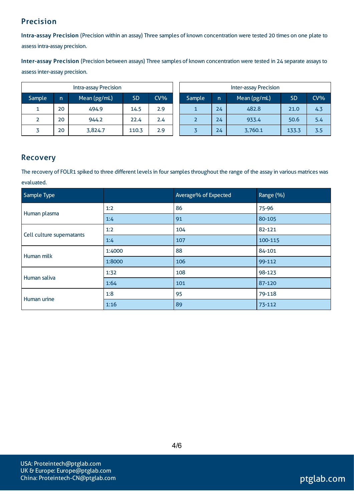# Precision

Intra-assay Precision (Precision within an assay) Three samples of known concentration were tested 20 times on one plate to assessintra-assay precision.

Inter-assay Precision (Precision between assays) Three samples of known concentration were tested in 24 separate assaysto assessinter-assay precision.

|        |    | Intra-assay Precision |           |        | <b>Inter-assay Precision</b> |              |    |              |           |        |
|--------|----|-----------------------|-----------|--------|------------------------------|--------------|----|--------------|-----------|--------|
| Sample | n. | Mean (pg/mL)          | <b>SD</b> | $CV\%$ |                              | Sample<br>'n |    | Mean (pg/mL) | <b>SD</b> | $CV\%$ |
|        | 20 | 494.9                 | 14.5      | 2.9    |                              |              | 24 | 482.8        | 21.0      | 4.3    |
|        | 20 | 944.2                 | 22.4      | 2.4    |                              |              | 24 | 933.4        | 50.6      | 5.4    |
|        | 20 | 3,824.7               | 110.3     | 2.9    |                              |              | 24 | 3,760.1      | 133.3     | 3.5    |

#### Recovery

The recovery of FOLR1 spiked to three different levels in four samples throughout the range of the assay in various matrices was evaluated.

| Sample Type               |        | Average% of Expected | Range (%) |
|---------------------------|--------|----------------------|-----------|
| Human plasma              | 1:2    | 86                   | 75-96     |
|                           | 1:4    | 91                   | 80-105    |
| Cell culture supernatants | 1:2    | 104                  | 82-121    |
|                           | 1:4    | 107                  | 100-115   |
| Human milk                | 1:4000 | 88                   | 84-101    |
|                           | 1:8000 | 106                  | 99-112    |
| Human saliva              | 1:32   | 108                  | 98-123    |
|                           | 1:64   | 101                  | 87-120    |
| Human urine               | 1:8    | 95                   | 79-118    |
|                           | 1:16   | 89                   | 73-112    |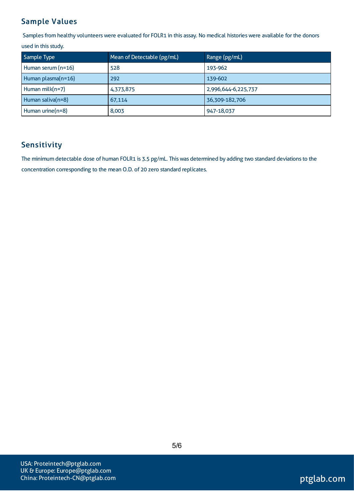# Sample Values

Samples from healthy volunteers were evaluated for FOLR1 in this assay. No medical histories were available for the donors

used in this study.

| Sample Type        | Mean of Detectable (pg/mL) | Range (pg/mL)       |
|--------------------|----------------------------|---------------------|
| Human serum (n=16) | 528                        | 193-962             |
| Human plasma(n=16) | 292                        | 139-602             |
| Human milk $(n=7)$ | 4,373,875                  | 2,996,644-6,225,737 |
| Human saliva(n=8)  | 67,114                     | 36,309-182,706      |
| Human urine(n=8)   | 8,003                      | 947-18,037          |

# Sensitivity

The minimum detectable dose of human FOLR1 is 3.5 pg/mL. This was determined by adding two standard deviations to the concentration corresponding to the mean O.D. of 20 zero standard replicates.